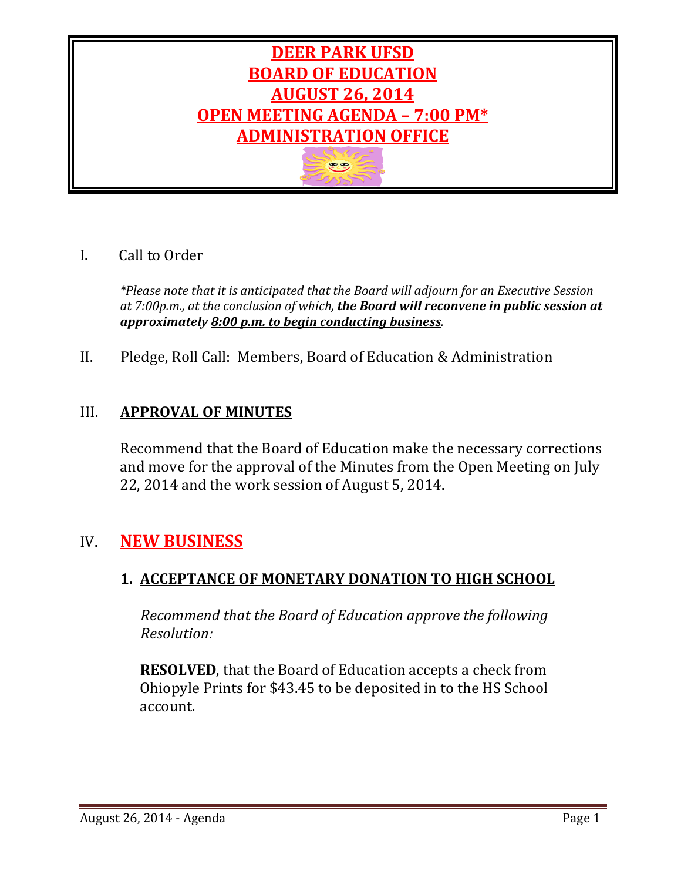

# I. Call to Order

*\*Please note that it is anticipated that the Board will adjourn for an Executive Session at 7:00p.m., at the conclusion of which, the Board will reconvene in public session at approximately 8:00 p.m. to begin conducting business.*

II. Pledge, Roll Call: Members, Board of Education & Administration

# III. **APPROVAL OF MINUTES**

Recommend that the Board of Education make the necessary corrections and move for the approval of the Minutes from the Open Meeting on July 22, 2014 and the work session of August 5, 2014.

# IV. **NEW BUSINESS**

## **1. ACCEPTANCE OF MONETARY DONATION TO HIGH SCHOOL**

 *Recommend that the Board of Education approve the following Resolution:*

**RESOLVED**, that the Board of Education accepts a check from Ohiopyle Prints for \$43.45 to be deposited in to the HS School account.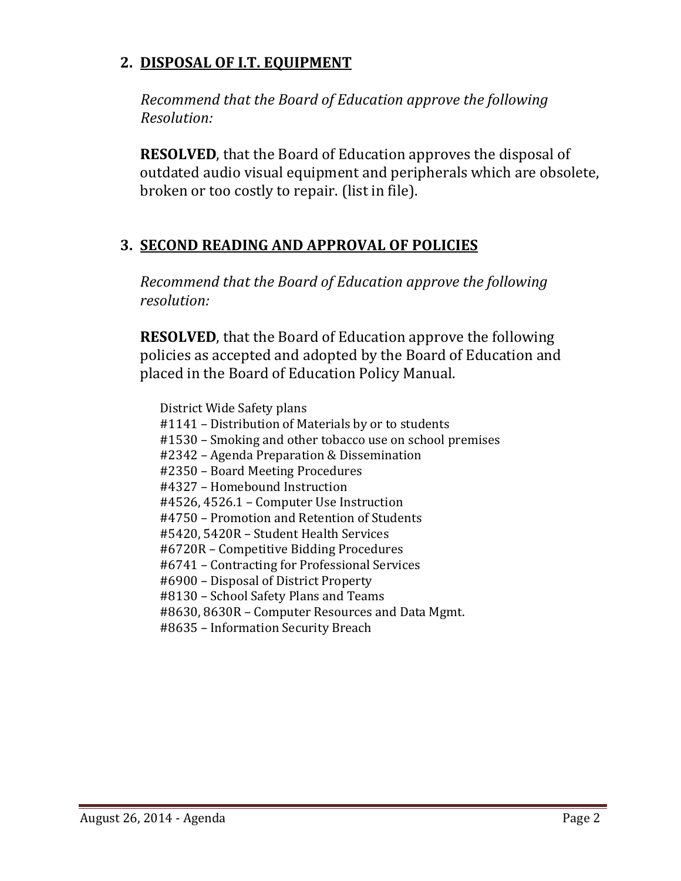## **2. DISPOSAL OF I.T. EQUIPMENT**

 *Recommend that the Board of Education approve the following Resolution:*

**RESOLVED**, that the Board of Education approves the disposal of outdated audio visual equipment and peripherals which are obsolete, broken or too costly to repair. (list in file).

# **3. SECOND READING AND APPROVAL OF POLICIES**

*Recommend that the Board of Education approve the following resolution:*

**RESOLVED**, that the Board of Education approve the following policies as accepted and adopted by the Board of Education and placed in the Board of Education Policy Manual.

District Wide Safety plans #1141 – Distribution of Materials by or to students #1530 – Smoking and other tobacco use on school premises #2342 – Agenda Preparation & Dissemination #2350 – Board Meeting Procedures #4327 – Homebound Instruction #4526, 4526.1 – Computer Use Instruction #4750 – Promotion and Retention of Students #5420, 5420R – Student Health Services #6720R – Competitive Bidding Procedures #6741 – Contracting for Professional Services #6900 – Disposal of District Property #8130 – School Safety Plans and Teams #8630, 8630R – Computer Resources and Data Mgmt. #8635 – Information Security Breach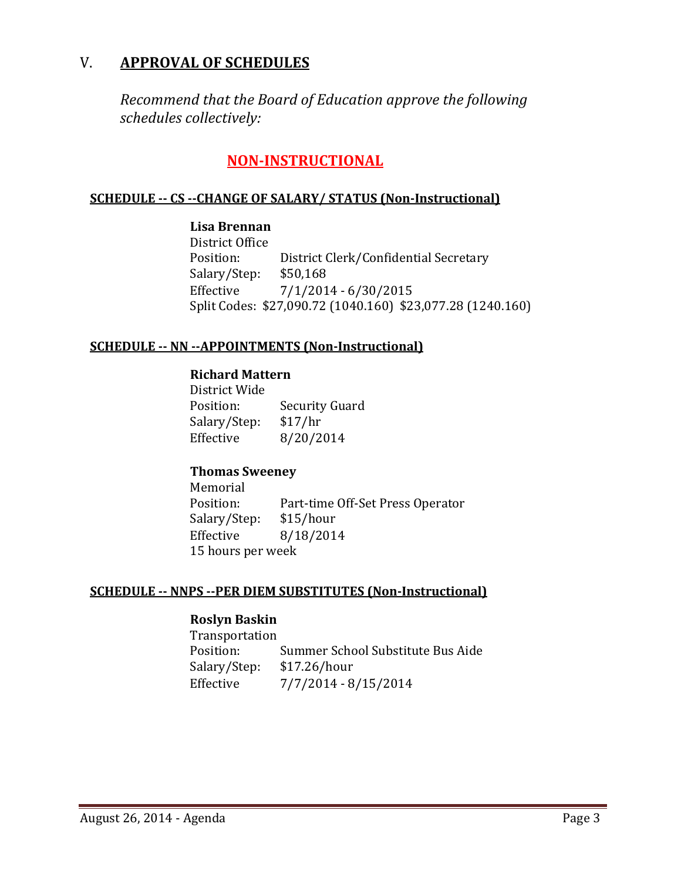## V. **APPROVAL OF SCHEDULES**

*Recommend that the Board of Education approve the following schedules collectively:*

## **NON-INSTRUCTIONAL**

### **SCHEDULE -- CS --CHANGE OF SALARY/ STATUS (Non-Instructional)**

**Lisa Brennan** District Office<br>Position: District Clerk/Confidential Secretary<br>\$50,168 Salary/Step:<br>Effective  $7/1/2014 - 6/30/2015$ Split Codes: \$27,090.72 (1040.160) \$23,077.28 (1240.160)

#### **SCHEDULE -- NN --APPOINTMENTS (Non-Instructional)**

#### **Richard Mattern**

District Wide Security Guard<br>\$17/hr Salary/Step: Effective 8/20/2014

#### **Thomas Sweeney**

Memorial<br>Position: Part-time Off-Set Press Operator<br>\$15/hour Salary/Step:<br>Effective Effective 8/18/2014 15 hours per week

#### **SCHEDULE -- NNPS --PER DIEM SUBSTITUTES (Non-Instructional)**

#### **Roslyn Baskin**

Transportation Summer School Substitute Bus Aide<br>\$17.26/hour Salary/Step:<br>Effective Effective 7/7/2014 - 8/15/2014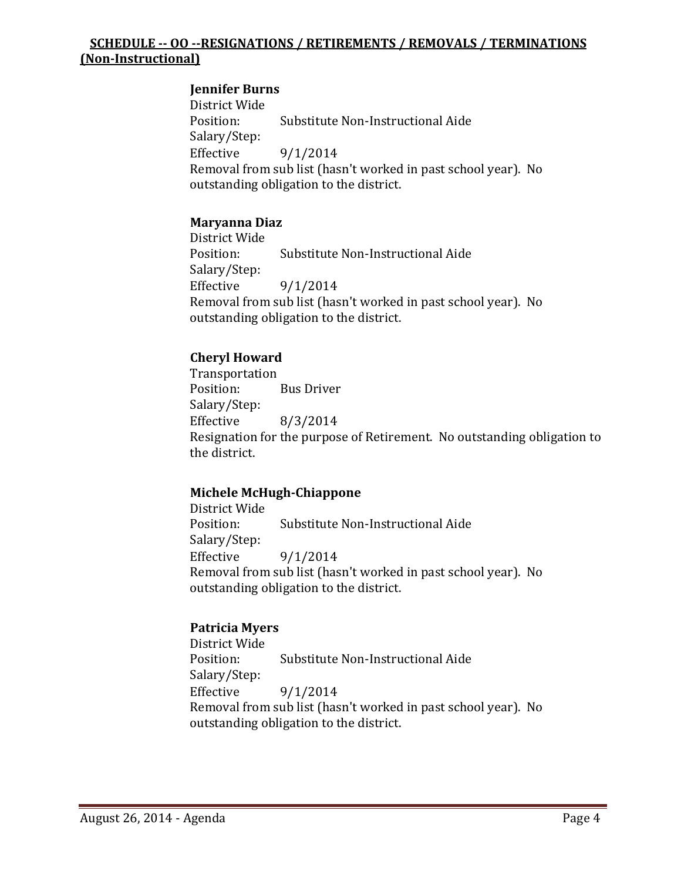### **SCHEDULE -- OO --RESIGNATIONS / RETIREMENTS / REMOVALS / TERMINATIONS (Non-Instructional)**

#### **Jennifer Burns**

District Wide Substitute Non-Instructional Aide Salary/Step:  $9/1/2014$ Removal from sub list (hasn't worked in past school year). No outstanding obligation to the district.

## **Maryanna Diaz**

District Wide Substitute Non-Instructional Aide Salary/Step:  $9/1/2014$ Removal from sub list (hasn't worked in past school year). No outstanding obligation to the district.

## **Cheryl Howard**

Transportation<br>Position: **Bus Driver** Salary/Step:<br>Effective Effective 8/3/2014 Resignation for the purpose of Retirement. No outstanding obligation to the district.

#### **Michele McHugh-Chiappone**

District Wide Substitute Non-Instructional Aide Salary/Step:<br>Effective Effective 9/1/2014 Removal from sub list (hasn't worked in past school year). No outstanding obligation to the district.

#### **Patricia Myers**

District Wide Substitute Non-Instructional Aide Salary/Step:  $9/1/2014$ Removal from sub list (hasn't worked in past school year). No outstanding obligation to the district.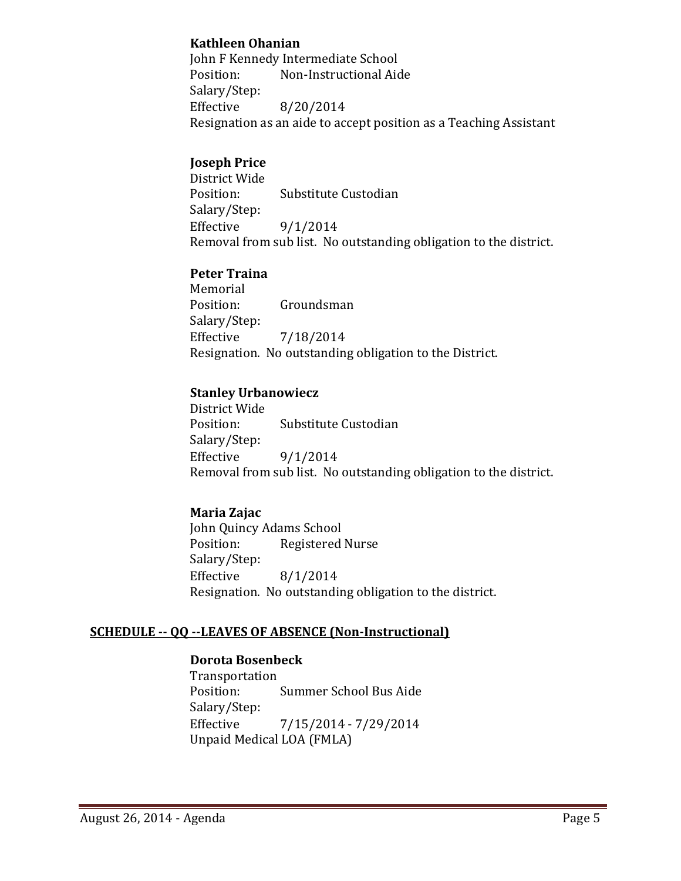#### **Kathleen Ohanian**

John F Kennedy Intermediate School<br>Position: Non-Instructional Aid Non-Instructional Aide Salary/Step:<br>Effective Effective 8/20/2014 Resignation as an aide to accept position as a Teaching Assistant

## **Joseph Price**

District Wide Substitute Custodian Salary/Step:  $9/1/2014$ Removal from sub list. No outstanding obligation to the district.

#### **Peter Traina**

Memorial<br>Position: Groundsman Salary/Step:<br>Effective Effective 7/18/2014 Resignation. No outstanding obligation to the District.

#### **Stanley Urbanowiecz**

District Wide Substitute Custodian Salary/Step: Effective  $9/1/2014$ Removal from sub list. No outstanding obligation to the district.

## **Maria Zajac**

John Quincy Adams School<br>Position: Registered Registered Nurse Salary/Step:<br>Effective Effective 8/1/2014 Resignation. No outstanding obligation to the district.

#### **SCHEDULE -- QQ --LEAVES OF ABSENCE (Non-Instructional)**

## **Dorota Bosenbeck**

Transportation Summer School Bus Aide Salary/Step:<br>Effective Effective 7/15/2014 - 7/29/2014 Unpaid Medical LOA (FMLA)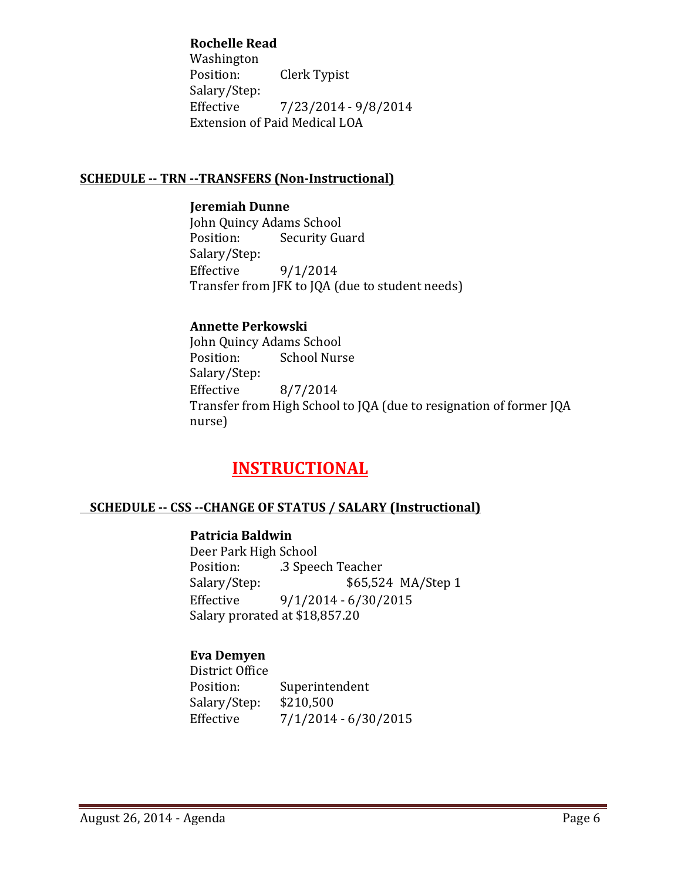#### **Rochelle Read**

Washington<br>Position: Clerk Typist Salary/Step:<br>Effective Effective 7/23/2014 - 9/8/2014 Extension of Paid Medical LOA

#### **SCHEDULE -- TRN --TRANSFERS (Non-Instructional)**

#### **Jeremiah Dunne**

John Quincy Adams School<br>Position: Security Gu **Security Guard** Salary/Step:<br>Effective  $9/1/2014$ Transfer from JFK to JQA (due to student needs)

## **Annette Perkowski**

John Quincy Adams School<br>Position: School Nur: School Nurse Salary/Step:<br>Effective Effective 8/7/2014 Transfer from High School to JQA (due to resignation of former JQA nurse)

# **INSTRUCTIONAL**

## **SCHEDULE -- CSS --CHANGE OF STATUS / SALARY (Instructional)**

#### **Patricia Baldwin**

Deer Park High School Position: .3 Speech Teacher<br>Salary/Step: \$65,52 Salary/Step: \$65,524 MA/Step 1<br>Effective 9/1/2014 - 6/30/2015  $9/1/2014 - 6/30/2015$ Salary prorated at \$18,857.20

## **Eva Demyen**

District Office Superintendent<br>\$210,500 Salary/Step:<br>Effective  $7/1/2014 - 6/30/2015$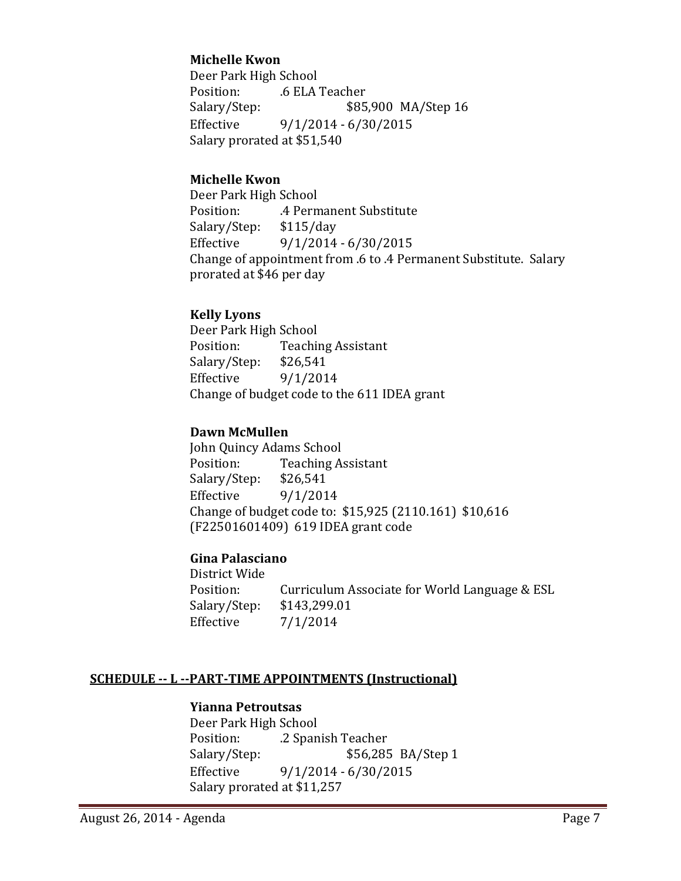### **Michelle Kwon**

Deer Park High School Position: .6 ELA Teacher<br>Salary/Step: \$85 Salary/Step: \$85,900 MA/Step 16<br>Effective 9/1/2014 - 6/30/2015  $9/1/2014 - 6/30/2015$ Salary prorated at \$51,540

#### **Michelle Kwon**

Deer Park High School .4 Permanent Substitute<br>\$115/day Salary/Step: Effective 9/1/2014 - 6/30/2015 Change of appointment from .6 to .4 Permanent Substitute. Salary prorated at \$46 per day

#### **Kelly Lyons**

Deer Park High School<br>Position: Teachii Teaching Assistant<br>\$26,541 Salary/Step: Effective  $9/1/2014$ Change of budget code to the 611 IDEA grant

#### **Dawn McMullen**

John Quincy Adams School<br>Position: Teaching A Teaching Assistant<br>\$26,541 Salary/Step:<br>Effective  $9/1/2014$ Change of budget code to: \$15,925 (2110.161) \$10,616 (F22501601409) 619 IDEA grant code

#### **Gina Palasciano**

District Wide Curriculum Associate for World Language & ESL \$143,299.01 Salary/Step: Effective 7/1/2014

#### **SCHEDULE -- L --PART-TIME APPOINTMENTS (Instructional)**

#### **Yianna Petroutsas**

Deer Park High School Position: .2 Spanish Teacher<br>Salary/Step: \$56,285 Salary/Step: \$56,285 BA/Step 1<br>Effective 9/1/2014 - 6/30/2015  $9/1/2014 - 6/30/2015$ Salary prorated at \$11,257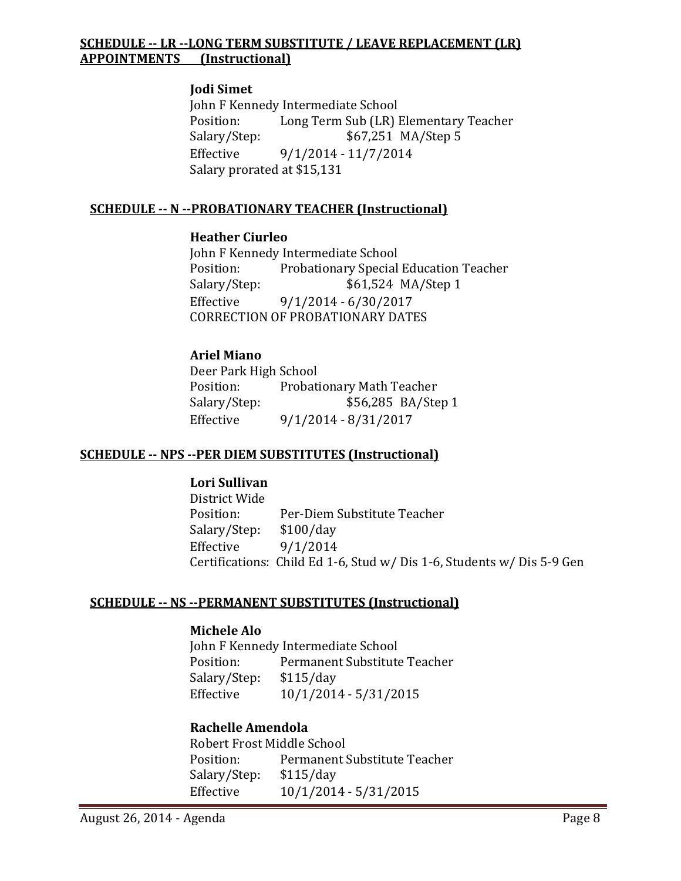### **SCHEDULE -- LR --LONG TERM SUBSTITUTE / LEAVE REPLACEMENT (LR) APPOINTMENTS (Instructional)**

#### **Jodi Simet**

John F Kennedy Intermediate School<br>Position: Long Term Sub (LR) Position: Long Term Sub (LR) Elementary Teacher<br>Salary/Step: \$67,251 MA/Step 5 Salary/Step: \$67,251 MA/Step 5<br>Effective 9/1/2014 - 11/7/2014 Effective 9/1/2014 - 11/7/2014 Salary prorated at \$15,131

## **SCHEDULE -- N --PROBATIONARY TEACHER (Instructional)**

#### **Heather Ciurleo**

John F Kennedy Intermediate School<br>Position: Probationary Special Position: Probationary Special Education Teacher<br>Salary/Step: \$61,524 MA/Step 1 Salary/Step: \$61,524 MA/Step 1<br>Effective 9/1/2014 - 6/30/2017 Effective 9/1/2014 - 6/30/2017 CORRECTION OF PROBATIONARY DATES

## **Ariel Miano**

Deer Park High School<br>Position: Probat Position: Probationary Math Teacher<br>Salary/Step: \$56,285 BA/Ste \$56,285 BA/Step 1 Effective 9/1/2014 - 8/31/2017

#### **SCHEDULE -- NPS --PER DIEM SUBSTITUTES (Instructional)**

#### **Lori Sullivan**

District Wide Per-Diem Substitute Teacher<br>\$100/day Salary/Step:<br>Effective  $9/1/2014$ Certifications: Child Ed 1-6, Stud w/ Dis 1-6, Students w/ Dis 5-9 Gen

#### **SCHEDULE -- NS --PERMANENT SUBSTITUTES (Instructional)**

#### **Michele Alo**

John F Kennedy Intermediate School<br>Position: Permanent Substitute Permanent Substitute Teacher<br>\$115/day Salary/Step: Effective 10/1/2014 - 5/31/2015

#### **Rachelle Amendola**

Robert Frost Middle School<br>Position: Permanent! Permanent Substitute Teacher<br>\$115/day Salary/Step:<br>Effective Effective 10/1/2014 - 5/31/2015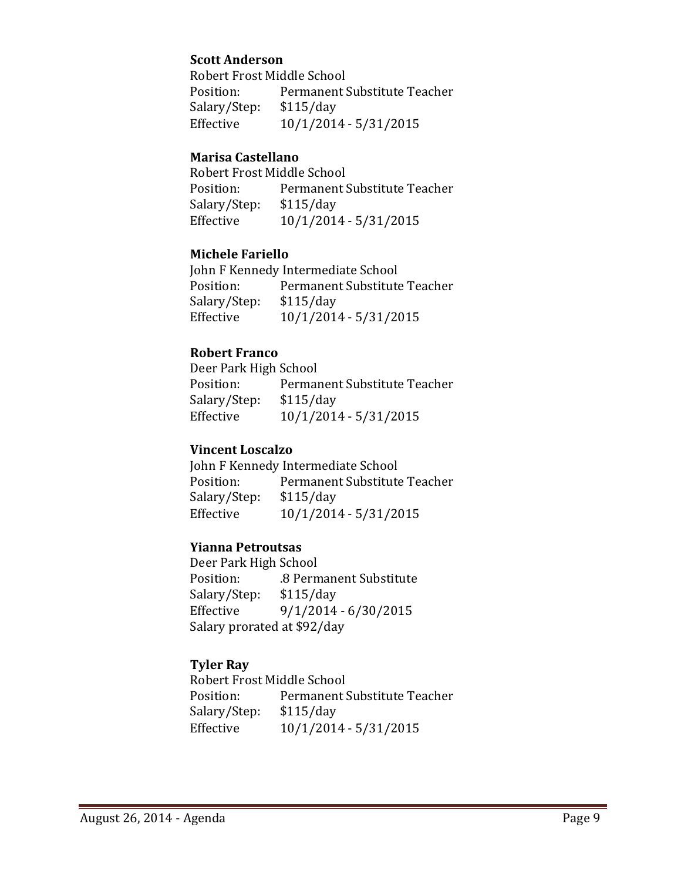#### **Scott Anderson**

Robert Frost Middle School<br>Position: Permanent ! Permanent Substitute Teacher<br>\$115/day Salary/Step:<br>Effective Effective 10/1/2014 - 5/31/2015

#### **Marisa Castellano**

Robert Frost Middle School<br>Position: Permanent! Permanent Substitute Teacher<br>\$115/day Salary/Step:<br>Effective Effective 10/1/2014 - 5/31/2015

#### **Michele Fariello**

John F Kennedy Intermediate School<br>Position: Permanent Substitute Permanent Substitute Teacher<br>\$115/day Salary/Step:<br>Effective Effective 10/1/2014 - 5/31/2015

## **Robert Franco**

Deer Park High School<br>Position: Permai Permanent Substitute Teacher<br>\$115/day Salary/Step:<br>Effective Effective 10/1/2014 - 5/31/2015

#### **Vincent Loscalzo**

John F Kennedy Intermediate School<br>Position: Permanent Substitute Permanent Substitute Teacher<br>\$115/day Salary/Step:<br>Effective Effective 10/1/2014 - 5/31/2015

#### **Yianna Petroutsas**

Deer Park High School .8 Permanent Substitute<br>\$115/day Salary/Step: Effective 9/1/2014 - 6/30/2015 Salary prorated at \$92/day

## **Tyler Ray**

Robert Frost Middle School<br>Position: Permanent S Permanent Substitute Teacher<br>\$115/day Salary/Step:<br>Effective Effective 10/1/2014 - 5/31/2015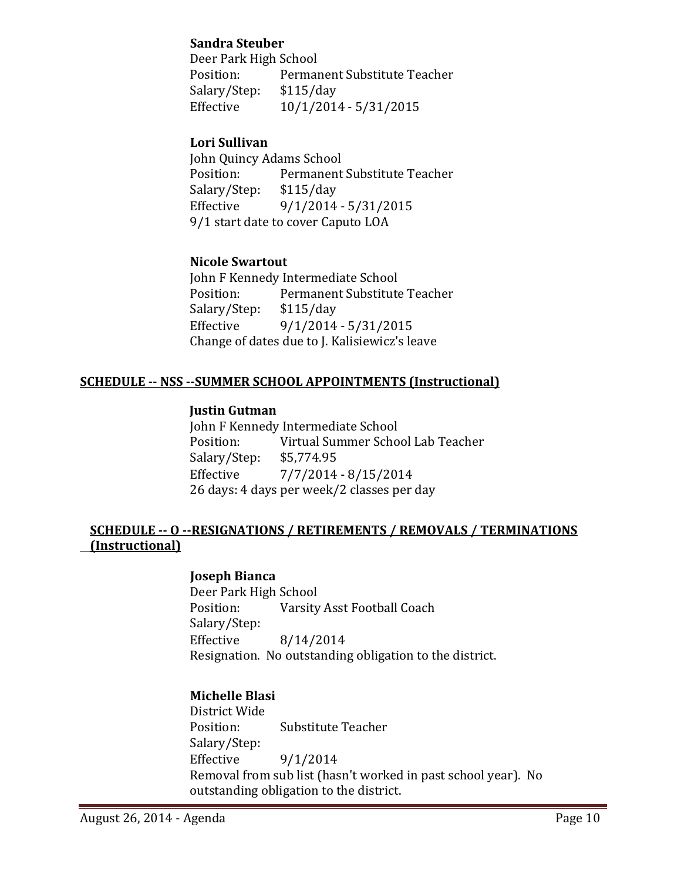#### **Sandra Steuber**

Deer Park High School<br>Position: Permai Permanent Substitute Teacher<br>\$115/day Salary/Step:<br>Effective Effective 10/1/2014 - 5/31/2015

## **Lori Sullivan**

John Quincy Adams School<br>Position: Permanent Permanent Substitute Teacher<br>\$115/day Salary/Step:<br>Effective Effective 9/1/2014 - 5/31/2015 9/1 start date to cover Caputo LOA

## **Nicole Swartout**

John F Kennedy Intermediate School<br>Position: Permanent Substitute Permanent Substitute Teacher<br>\$115/day Salary/Step:<br>Effective Effective 9/1/2014 - 5/31/2015 Change of dates due to J. Kalisiewicz's leave

## **SCHEDULE -- NSS --SUMMER SCHOOL APPOINTMENTS (Instructional)**

#### **Justin Gutman**

John F Kennedy Intermediate School<br>Position: Virtual Summer Scho Virtual Summer School Lab Teacher<br>\$5.774.95 Salary/Step: Effective 7/7/2014 - 8/15/2014 26 days: 4 days per week/2 classes per day

#### **SCHEDULE -- O --RESIGNATIONS / RETIREMENTS / REMOVALS / TERMINATIONS (Instructional)**

#### **Joseph Bianca**

Deer Park High School<br>Position: Varsity Varsity Asst Football Coach Salary/Step:<br>Effective Effective 8/14/2014 Resignation. No outstanding obligation to the district.

#### **Michelle Blasi**

District Wide **Substitute Teacher** Salary/Step: Effective 9/1/2014 Removal from sub list (hasn't worked in past school year). No outstanding obligation to the district.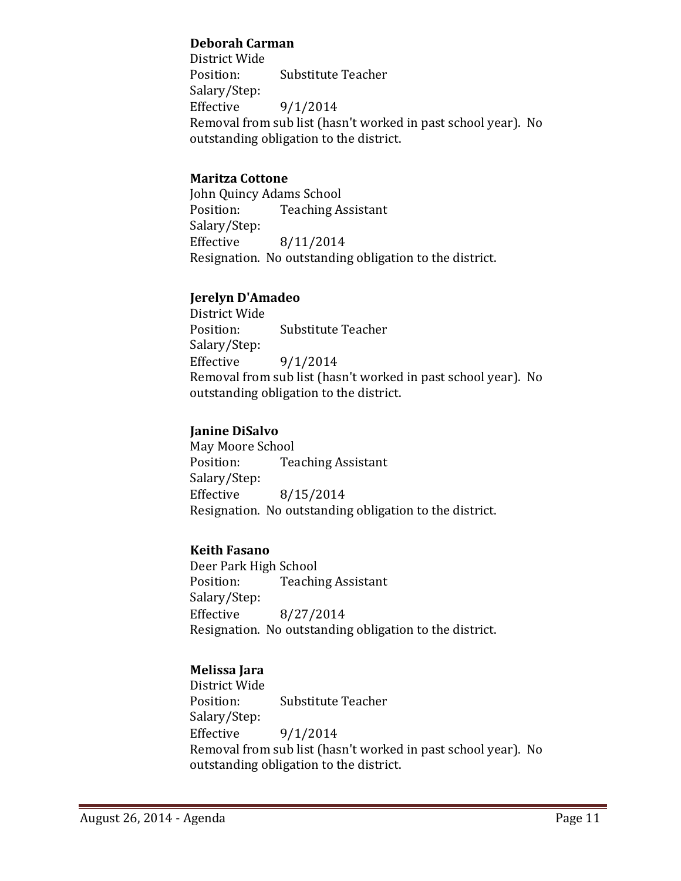#### **Deborah Carman**

District Wide Substitute Teacher Salary/Step:<br>Effective  $9/1/2014$ Removal from sub list (hasn't worked in past school year). No outstanding obligation to the district.

### **Maritza Cottone**

John Quincy Adams School<br>Position: Teaching A **Teaching Assistant** Salary/Step: Effective 8/11/2014 Resignation. No outstanding obligation to the district.

## **Jerelyn D'Amadeo**

District Wide Substitute Teacher Salary/Step:  $9/1/2014$ Removal from sub list (hasn't worked in past school year). No outstanding obligation to the district.

## **Janine DiSalvo**

May Moore School<br>Position: Tea **Teaching Assistant** Salary/Step:  $8/15/2014$ Resignation. No outstanding obligation to the district.

#### **Keith Fasano**

Deer Park High School<br>Position: Teachii **Teaching Assistant** Salary/Step:<br>Effective Effective 8/27/2014 Resignation. No outstanding obligation to the district.

## **Melissa Jara**

District Wide **Substitute Teacher** Salary/Step:<br>Effective  $9/1/2014$ Removal from sub list (hasn't worked in past school year). No outstanding obligation to the district.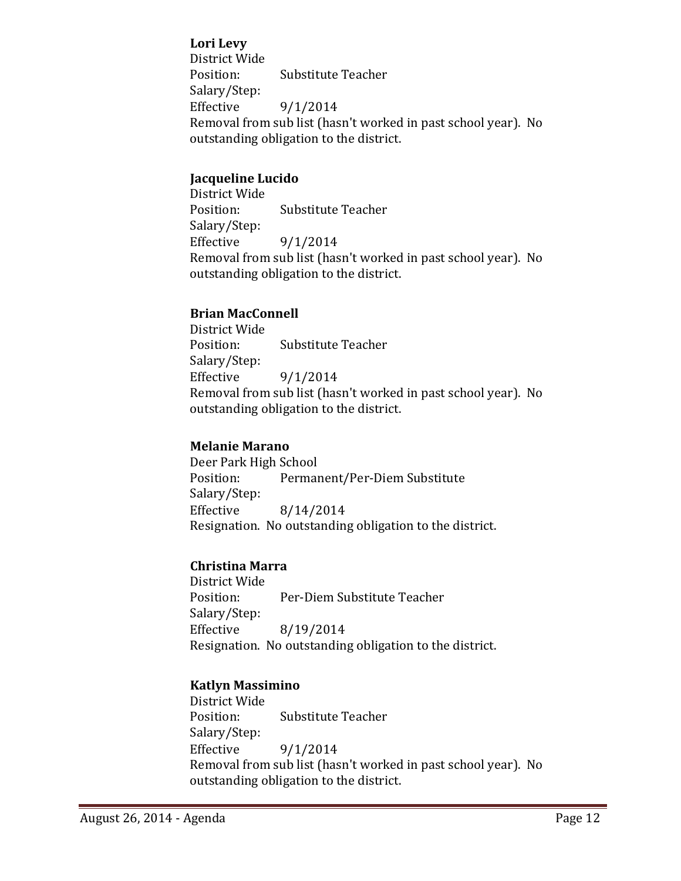#### **Lori Levy**

District Wide Substitute Teacher Salary/Step:<br>Effective  $9/1/2014$ Removal from sub list (hasn't worked in past school year). No outstanding obligation to the district.

#### **Jacqueline Lucido**

District Wide Substitute Teacher Salary/Step: Effective 9/1/2014 Removal from sub list (hasn't worked in past school year). No outstanding obligation to the district.

#### **Brian MacConnell**

District Wide Substitute Teacher Salary/Step: Effective  $9/1/2014$ Removal from sub list (hasn't worked in past school year). No outstanding obligation to the district.

### **Melanie Marano**

Deer Park High School<br>Position: Permai Permanent/Per-Diem Substitute Salary/Step:<br>Effective Effective 8/14/2014 Resignation. No outstanding obligation to the district.

## **Christina Marra**

District Wide Per-Diem Substitute Teacher Salary/Step: Effective 8/19/2014 Resignation. No outstanding obligation to the district.

## **Katlyn Massimino**

District Wide Substitute Teacher Salary/Step:<br>Effective Effective 9/1/2014 Removal from sub list (hasn't worked in past school year). No outstanding obligation to the district.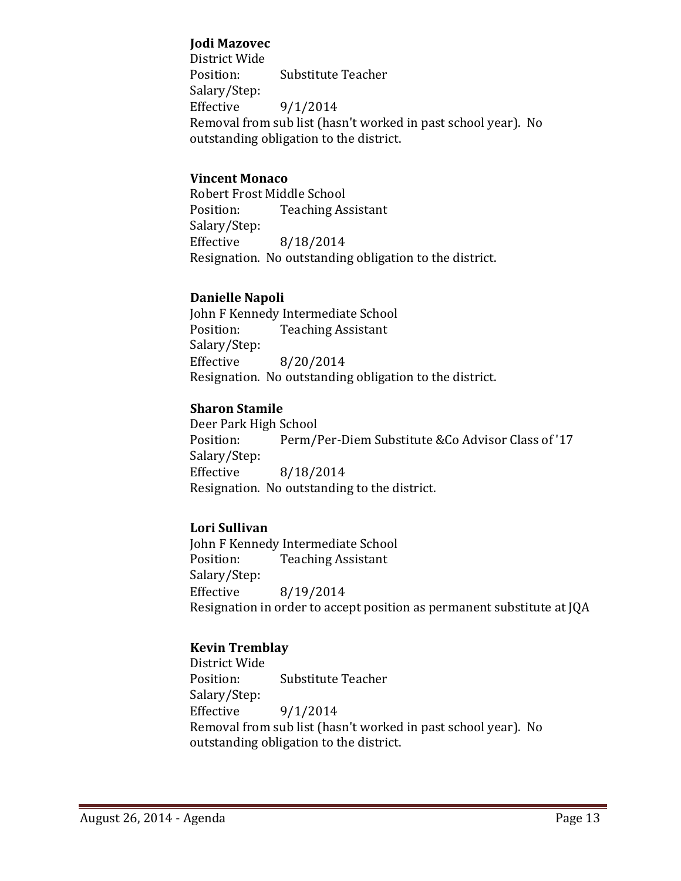#### **Jodi Mazovec**

District Wide Substitute Teacher Salary/Step:<br>Effective  $9/1/2014$ Removal from sub list (hasn't worked in past school year). No outstanding obligation to the district.

#### **Vincent Monaco**

Robert Frost Middle School<br>Position: Teaching As **Teaching Assistant** Salary/Step: Effective 8/18/2014 Resignation. No outstanding obligation to the district.

#### **Danielle Napoli**

John F Kennedy Intermediate School<br>Position: Teaching Assistant **Teaching Assistant** Salary/Step: Effective 8/20/2014 Resignation. No outstanding obligation to the district.

#### **Sharon Stamile**

Deer Park High School<br>Position: Perm/l Perm/Per-Diem Substitute &Co Advisor Class of '17 Salary/Step:<br>Effective Effective 8/18/2014 Resignation. No outstanding to the district.

#### **Lori Sullivan**

John F Kennedy Intermediate School<br>Position: Teaching Assistant **Teaching Assistant** Salary/Step: Effective 8/19/2014 Resignation in order to accept position as permanent substitute at JQA

#### **Kevin Tremblay**

District Wide **Substitute Teacher** Salary/Step:<br>Effective  $9/1/2014$ Removal from sub list (hasn't worked in past school year). No outstanding obligation to the district.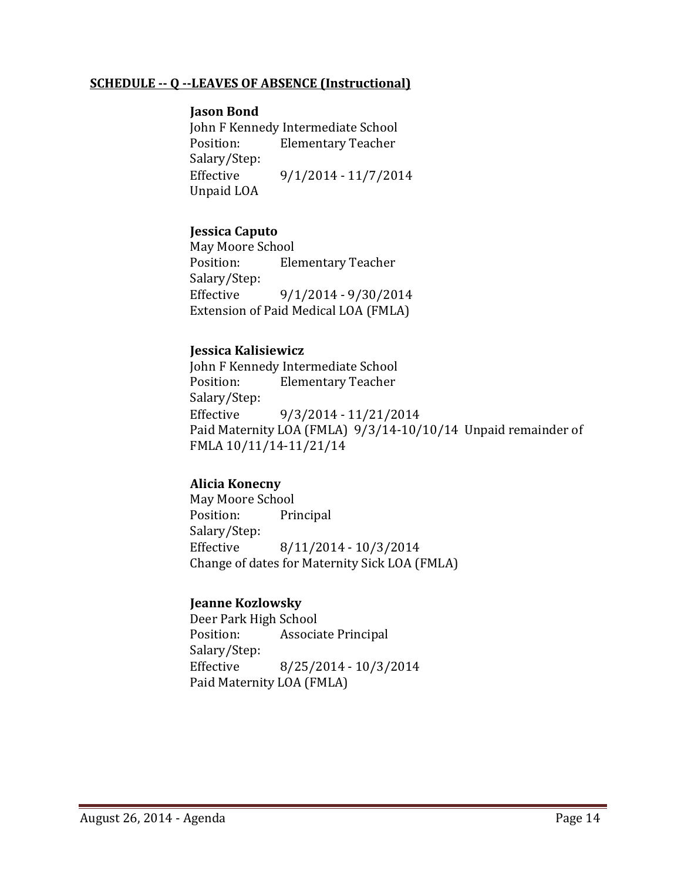#### **SCHEDULE -- Q --LEAVES OF ABSENCE (Instructional)**

#### **Jason Bond**

John F Kennedy Intermediate School<br>Position: Elementary Teacher **Elementary Teacher** Salary/Step:<br>Effective Effective 9/1/2014 - 11/7/2014 Unpaid LOA

#### **Jessica Caputo**

May Moore School<br>Position: Ele **Elementary Teacher** Salary/Step:<br>Effective Effective 9/1/2014 - 9/30/2014 Extension of Paid Medical LOA (FMLA)

#### **Jessica Kalisiewicz**

John F Kennedy Intermediate School<br>Position: Elementary Teacher **Elementary Teacher** Salary/Step: Effective 9/3/2014 - 11/21/2014 Paid Maternity LOA (FMLA) 9/3/14-10/10/14 Unpaid remainder of FMLA 10/11/14-11/21/14

#### **Alicia Konecny**

May Moore School<br>Position: Pri Principal Salary/Step:<br>Effective Effective 8/11/2014 - 10/3/2014 Change of dates for Maternity Sick LOA (FMLA)

#### **Jeanne Kozlowsky**

Deer Park High School<br>Position: Associa Associate Principal Salary/Step:  $8/25/2014 - 10/3/2014$ Paid Maternity LOA (FMLA)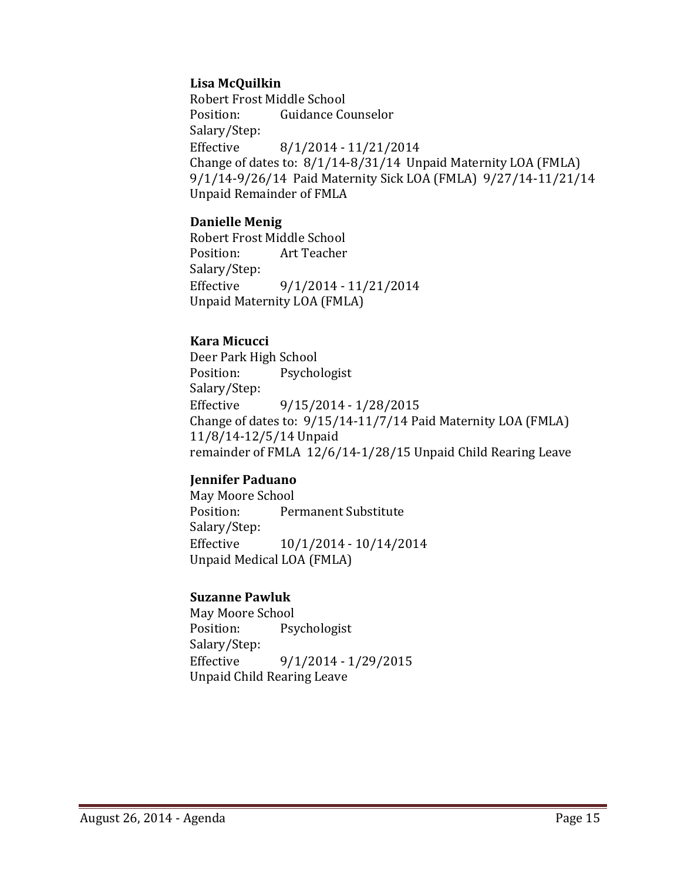### **Lisa McQuilkin**

Robert Frost Middle School<br>Position: Guidance Co Guidance Counselor Salary/Step: Effective 8/1/2014 - 11/21/2014 Change of dates to: 8/1/14-8/31/14 Unpaid Maternity LOA (FMLA) 9/1/14-9/26/14 Paid Maternity Sick LOA (FMLA) 9/27/14-11/21/14 Unpaid Remainder of FMLA

#### **Danielle Menig**

Robert Frost Middle School Art Teacher Salary/Step: Effective 9/1/2014 - 11/21/2014 Unpaid Maternity LOA (FMLA)

## **Kara Micucci**

Deer Park High School<br>Position: Psycho Psychologist Salary/Step:<br>Effective Effective 9/15/2014 - 1/28/2015 Change of dates to: 9/15/14-11/7/14 Paid Maternity LOA (FMLA) 11/8/14-12/5/14 Unpaid remainder of FMLA 12/6/14-1/28/15 Unpaid Child Rearing Leave

## **Jennifer Paduano**

May Moore School<br>Position: Per Permanent Substitute Salary/Step:<br>Effective Effective 10/1/2014 - 10/14/2014 Unpaid Medical LOA (FMLA)

#### **Suzanne Pawluk**

May Moore School<br>Position: Psy Psychologist Salary/Step:<br>Effective Effective 9/1/2014 - 1/29/2015 Unpaid Child Rearing Leave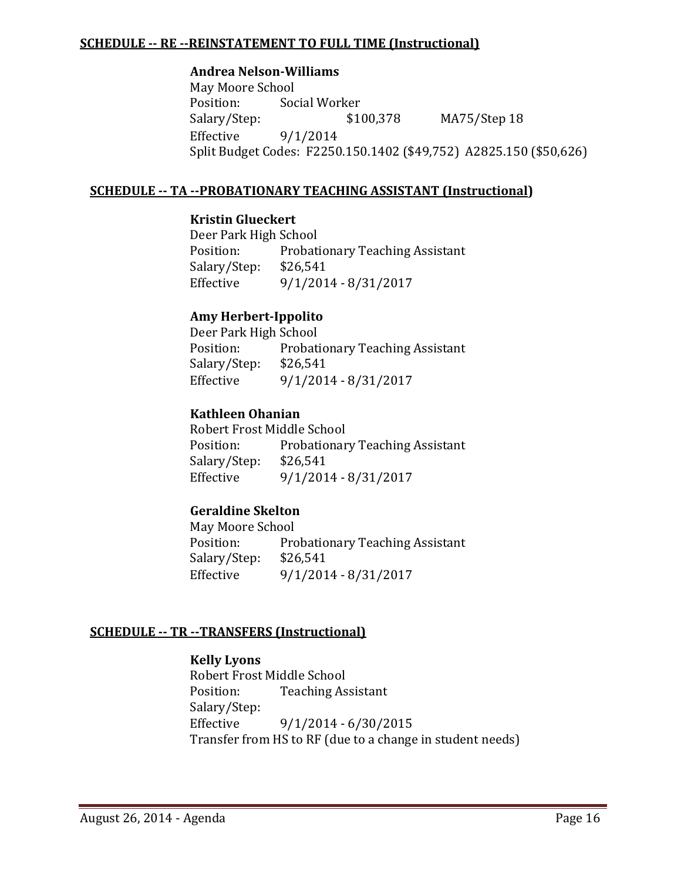#### **SCHEDULE -- RE --REINSTATEMENT TO FULL TIME (Instructional)**

#### **Andrea Nelson-Williams**

May Moore School<br>Position: Soc Position: Social Worker<br>Salary/Step: \$100,378 Salary/Step: \$100,378 MA75/Step 18<br>Effective 9/1/2014 Effective 9/1/2014 Split Budget Codes: F2250.150.1402 (\$49,752) A2825.150 (\$50,626)

### **SCHEDULE -- TA --PROBATIONARY TEACHING ASSISTANT (Instructional)**

#### **Kristin Glueckert**

Deer Park High School<br>Position: Probati Probationary Teaching Assistant<br>\$26,541 Salary/Step:<br>Effective Effective 9/1/2014 - 8/31/2017

#### **Amy Herbert-Ippolito**

Deer Park High School<br>Position: Probati Probationary Teaching Assistant<br>\$26,541 Salary/Step:<br>Effective Effective 9/1/2014 - 8/31/2017

#### **Kathleen Ohanian**

Robert Frost Middle School<br>Position: Probationar Probationary Teaching Assistant<br>\$26,541 Salary/Step:<br>Effective Effective 9/1/2014 - 8/31/2017

## **Geraldine Skelton**

May Moore School<br>Position: Pro Probationary Teaching Assistant<br>\$26.541 Salary/Step:<br>Effective Effective 9/1/2014 - 8/31/2017

#### **SCHEDULE -- TR --TRANSFERS (Instructional)**

#### **Kelly Lyons**

Robert Frost Middle School<br>Position: Teaching As **Teaching Assistant** Salary/Step: Effective 9/1/2014 - 6/30/2015 Transfer from HS to RF (due to a change in student needs)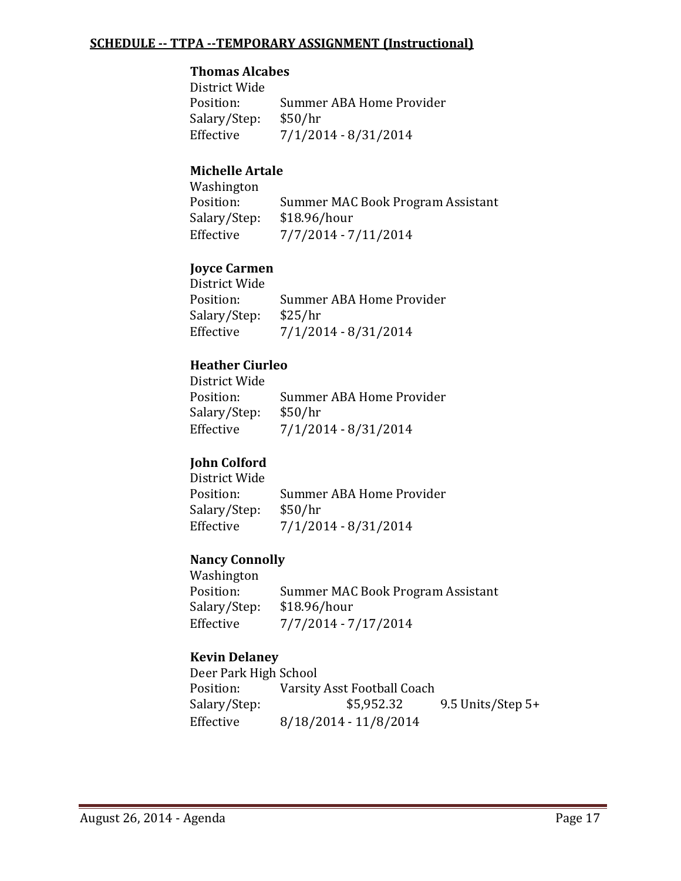#### **SCHEDULE -- TTPA --TEMPORARY ASSIGNMENT (Instructional)**

#### **Thomas Alcabes**

District Wide Summer ABA Home Provider<br>\$50/hr Salary/Step:<br>Effective Effective 7/1/2014 - 8/31/2014

## **Michelle Artale**

Washington<br>Position: Summer MAC Book Program Assistant<br>\$18.96/hour Salary/Step:<br>Effective Effective 7/7/2014 - 7/11/2014

## **Joyce Carmen**

| District Wide |                          |
|---------------|--------------------------|
| Position:     | Summer ABA Home Provider |
| Salary/Step:  | \$25/hr                  |
| Effective     | $7/1/2014 - 8/31/2014$   |
|               |                          |

## **Heather Ciurleo**

| District Wide |                          |
|---------------|--------------------------|
| Position:     | Summer ABA Home Provider |
| Salary/Step:  | \$50/hr                  |
| Effective     | $7/1/2014 - 8/31/2014$   |

#### **John Colford**

| District Wide |                          |
|---------------|--------------------------|
| Position:     | Summer ABA Home Provider |
| Salary/Step:  | \$50/hr                  |
| Effective     | $7/1/2014 - 8/31/2014$   |

#### **Nancy Connolly**

Washington<br>Position: Summer MAC Book Program Assistant<br>\$18.96/hour Salary/Step:<br>Effective  $7/7/2014 - 7/17/2014$ 

## **Kevin Delaney**

| Deer Park High School |                             |                     |
|-----------------------|-----------------------------|---------------------|
| Position:             | Varsity Asst Football Coach |                     |
| Salary/Step:          | \$5,952.32                  | 9.5 Units/Step $5+$ |
| Effective             | 8/18/2014 - 11/8/2014       |                     |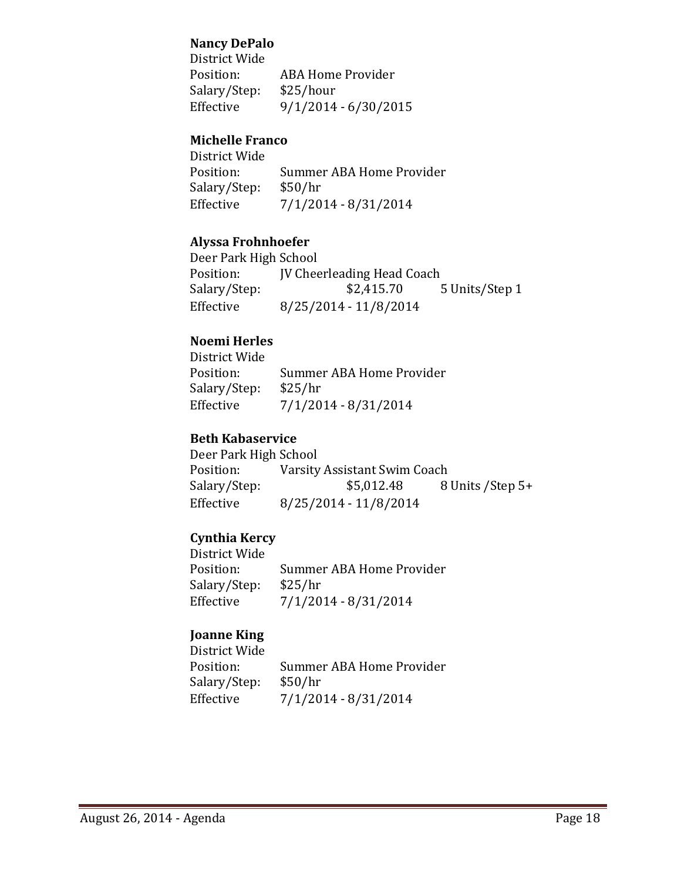#### **Nancy DePalo**

District Wide ABA Home Provider<br>\$25/hour Salary/Step:<br>Effective  $9/1/2014 - 6/30/2015$ 

## **Michelle Franco**

District Wide Summer ABA Home Provider<br>\$50/hr Salary/Step:<br>Effective Effective 7/1/2014 - 8/31/2014

#### **Alyssa Frohnhoefer**

Deer Park High School<br>Position: **IV Chee** Position: JV Cheerleading Head Coach<br>Salary/Step: \$2,415.70 Salary/Step: \$2,415.70 5 Units/Step 1<br>Effective 8/25/2014 - 11/8/2014 Effective 8/25/2014 - 11/8/2014

## **Noemi Herles**

| District Wide |                          |
|---------------|--------------------------|
| Position:     | Summer ABA Home Provider |
| Salary/Step:  | \$25/hr                  |
| Effective     | $7/1/2014 - 8/31/2014$   |

### **Beth Kabaservice**

| Deer Park High School        |                   |
|------------------------------|-------------------|
| Varsity Assistant Swim Coach |                   |
| \$5,012.48                   | 8 Units / Step 5+ |
| 8/25/2014 - 11/8/2014        |                   |
|                              |                   |

## **Cynthia Kercy**

District Wide Summer ABA Home Provider<br>\$25/hr Salary/Step:<br>Effective  $7/1/2014 - 8/31/2014$ 

## **Joanne King**

District Wide Summer ABA Home Provider<br>\$50/hr Salary/Step:<br>Effective  $7/1/2014 - 8/31/2014$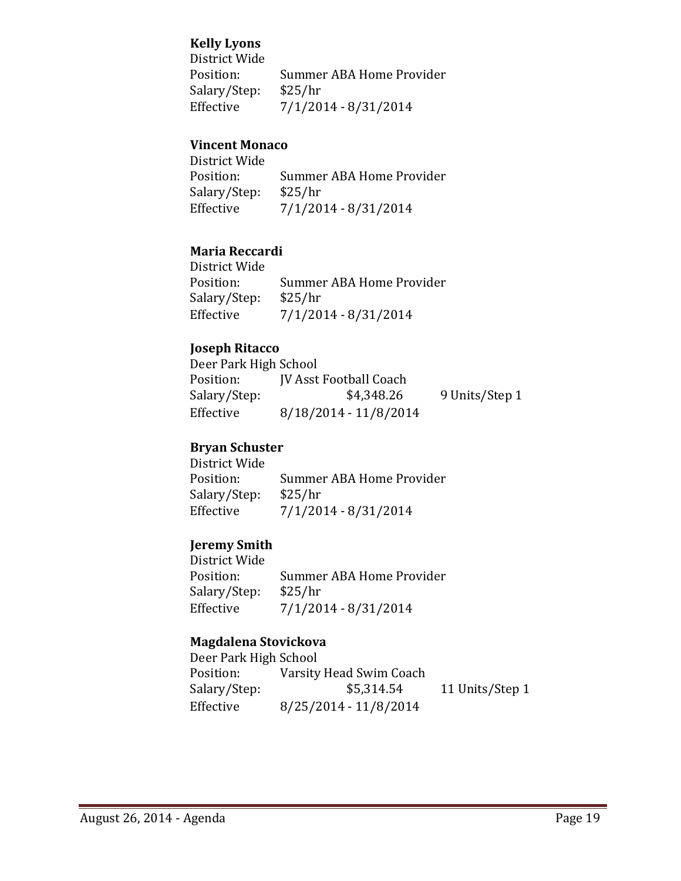## **Kelly Lyons**

District Wide Summer ABA Home Provider<br>\$25/hr Salary/Step:<br>Effective Effective 7/1/2014 - 8/31/2014

## **Vincent Monaco**

District Wide Summer ABA Home Provider<br>\$25/hr Salary/Step:<br>Effective  $7/1/2014 - 8/31/2014$ 

## **Maria Reccardi**

District Wide Summer ABA Home Provider<br>\$25/hr Salary/Step:<br>Effective Effective 7/1/2014 - 8/31/2014

## **Joseph Ritacco**

| Deer Park High School |                               |                |
|-----------------------|-------------------------------|----------------|
| Position:             | <b>IV Asst Football Coach</b> |                |
| Salary/Step:          | \$4,348.26                    | 9 Units/Step 1 |
| Effective             | 8/18/2014 - 11/8/2014         |                |

## **Bryan Schuster**

District Wide Summer ABA Home Provider<br>\$25/hr Salary/Step:<br>Effective  $7/1/2014 - 8/31/2014$ 

#### **Jeremy Smith**

District Wide Summer ABA Home Provider<br>\$25/hr Salary/Step:<br>Effective Effective 7/1/2014 - 8/31/2014

#### **Magdalena Stovickova**

| Deer Park High School |                         |                 |
|-----------------------|-------------------------|-----------------|
| Position:             | Varsity Head Swim Coach |                 |
| Salary/Step:          | \$5,314.54              | 11 Units/Step 1 |
| Effective             | 8/25/2014 - 11/8/2014   |                 |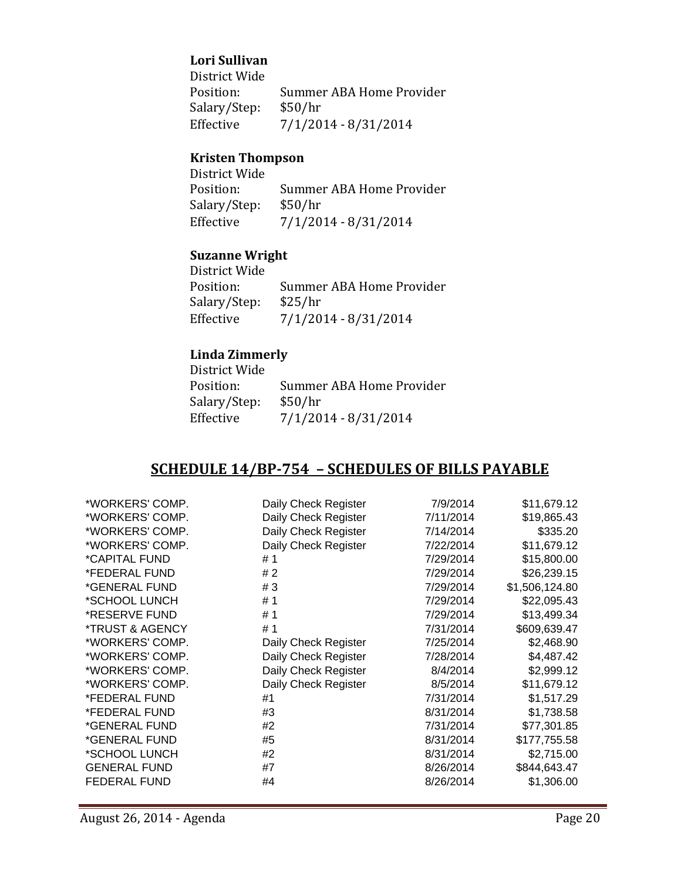#### **Lori Sullivan**

District Wide Summer ABA Home Provider<br>\$50/hr Salary/Step:<br>Effective  $7/1/2014 - 8/31/2014$ 

## **Kristen Thompson**

| District Wide |                          |
|---------------|--------------------------|
| Position:     | Summer ABA Home Provider |
| Salary/Step:  | \$50/hr                  |
| Effective     | $7/1/2014 - 8/31/2014$   |

## **Suzanne Wright**

District Wide Summer ABA Home Provider<br>\$25/hr Salary/Step:<br>Effective  $7/1/2014 - 8/31/2014$ 

## **Linda Zimmerly**

| Summer ABA Home Provider |
|--------------------------|
| \$50/hr                  |
| $7/1/2014 - 8/31/2014$   |
|                          |

## **SCHEDULE 14/BP-754 – SCHEDULES OF BILLS PAYABLE**

| *WORKERS' COMP.     | Daily Check Register | 7/9/2014  | \$11,679.12    |
|---------------------|----------------------|-----------|----------------|
| *WORKERS' COMP.     | Daily Check Register | 7/11/2014 | \$19,865.43    |
| *WORKERS' COMP.     | Daily Check Register | 7/14/2014 | \$335.20       |
| *WORKERS' COMP.     | Daily Check Register | 7/22/2014 | \$11,679.12    |
| *CAPITAL FUND       | #1                   | 7/29/2014 | \$15,800.00    |
| *FEDERAL FUND       | #2                   | 7/29/2014 | \$26,239.15    |
| *GENERAL FUND       | #3                   | 7/29/2014 | \$1,506,124.80 |
| *SCHOOL LUNCH       | #1                   | 7/29/2014 | \$22,095.43    |
| *RESERVE FUND       | #1                   | 7/29/2014 | \$13,499.34    |
| *TRUST & AGENCY     | #1                   | 7/31/2014 | \$609,639.47   |
| *WORKERS' COMP.     | Daily Check Register | 7/25/2014 | \$2,468.90     |
| *WORKERS' COMP.     | Daily Check Register | 7/28/2014 | \$4,487.42     |
| *WORKERS' COMP.     | Daily Check Register | 8/4/2014  | \$2,999.12     |
| *WORKERS' COMP.     | Daily Check Register | 8/5/2014  | \$11,679.12    |
| *FEDERAL FUND       | #1                   | 7/31/2014 | \$1,517.29     |
| *FEDERAL FUND       | #3                   | 8/31/2014 | \$1,738.58     |
| *GENERAL FUND       | #2                   | 7/31/2014 | \$77,301.85    |
| *GENERAL FUND       | #5                   | 8/31/2014 | \$177,755.58   |
| *SCHOOL LUNCH       | #2                   | 8/31/2014 | \$2,715.00     |
| <b>GENERAL FUND</b> | #7                   | 8/26/2014 | \$844,643.47   |
| <b>FEDERAL FUND</b> | #4                   | 8/26/2014 | \$1,306.00     |
|                     |                      |           |                |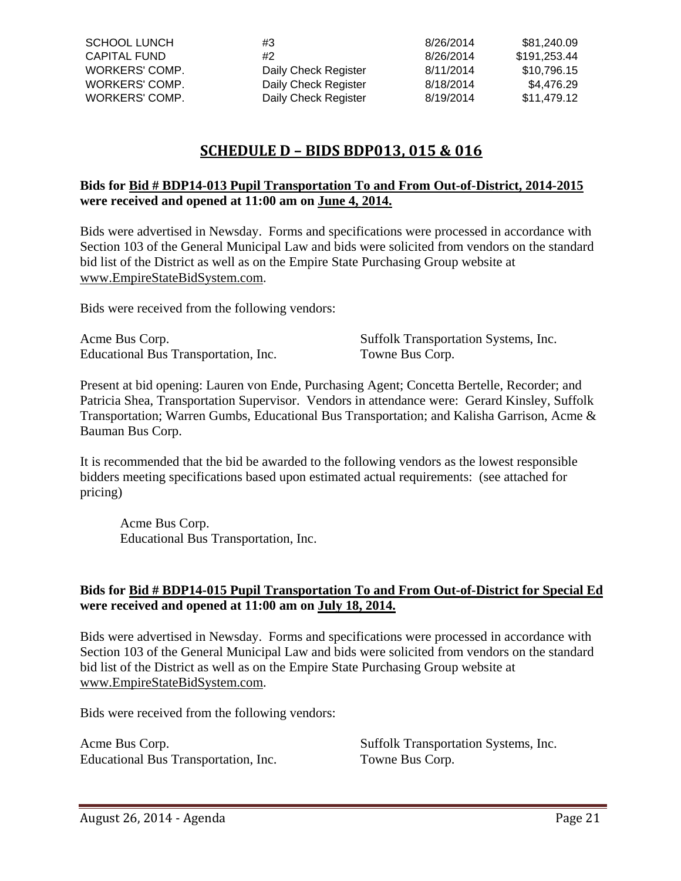| SCHOOL LUNCH   | #3                   | 8/26/2014 | \$81.240.09  |
|----------------|----------------------|-----------|--------------|
| CAPITAL FUND   | #2                   | 8/26/2014 | \$191.253.44 |
| WORKERS' COMP. | Daily Check Register | 8/11/2014 | \$10.796.15  |
| WORKERS' COMP. | Daily Check Register | 8/18/2014 | \$4.476.29   |
| WORKERS' COMP. | Daily Check Register | 8/19/2014 | \$11.479.12  |

## **SCHEDULE D – BIDS BDP013, 015 & 016**

#### **Bids for Bid # BDP14-013 Pupil Transportation To and From Out-of-District, 2014-2015 were received and opened at 11:00 am on June 4, 2014.**

Bids were advertised in Newsday. Forms and specifications were processed in accordance with Section 103 of the General Municipal Law and bids were solicited from vendors on the standard bid list of the District as well as on the Empire State Purchasing Group website at [www.EmpireStateBidSystem.com.](http://www.empirestatebidsystem.com/)

Bids were received from the following vendors:

Acme Bus Corp. Suffolk Transportation Systems, Inc. Educational Bus Transportation, Inc. Towne Bus Corp.

Present at bid opening: Lauren von Ende, Purchasing Agent; Concetta Bertelle, Recorder; and Patricia Shea, Transportation Supervisor. Vendors in attendance were: Gerard Kinsley, Suffolk Transportation; Warren Gumbs, Educational Bus Transportation; and Kalisha Garrison, Acme & Bauman Bus Corp.

It is recommended that the bid be awarded to the following vendors as the lowest responsible bidders meeting specifications based upon estimated actual requirements: (see attached for pricing)

Acme Bus Corp. Educational Bus Transportation, Inc.

#### **Bids for Bid # BDP14-015 Pupil Transportation To and From Out-of-District for Special Ed were received and opened at 11:00 am on July 18, 2014.**

Bids were advertised in Newsday. Forms and specifications were processed in accordance with Section 103 of the General Municipal Law and bids were solicited from vendors on the standard bid list of the District as well as on the Empire State Purchasing Group website at [www.EmpireStateBidSystem.com.](http://www.empirestatebidsystem.com/)

Bids were received from the following vendors:

Acme Bus Corp. Suffolk Transportation Systems, Inc. Educational Bus Transportation, Inc. Towne Bus Corp.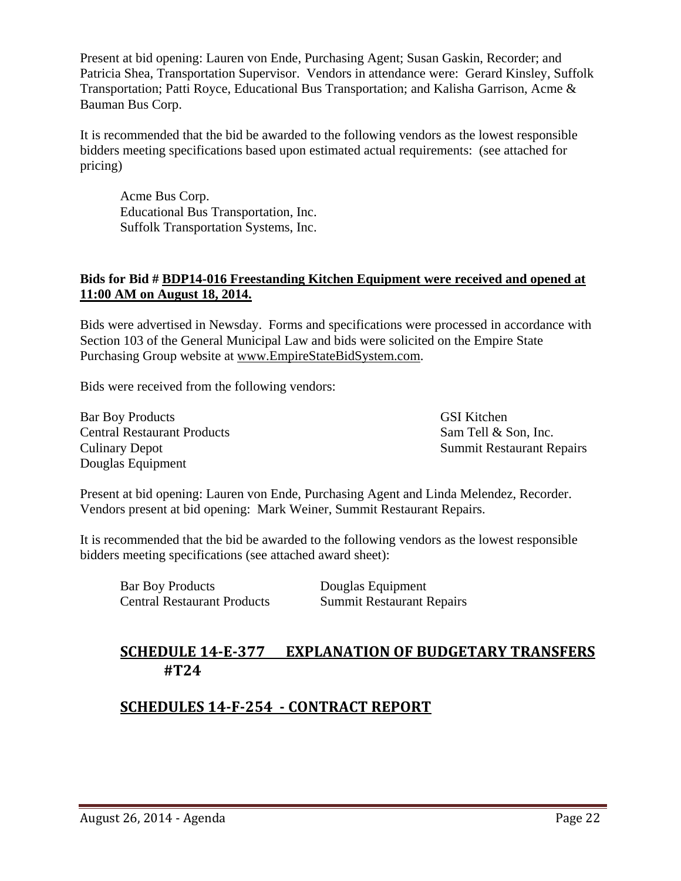Present at bid opening: Lauren von Ende, Purchasing Agent; Susan Gaskin, Recorder; and Patricia Shea, Transportation Supervisor. Vendors in attendance were: Gerard Kinsley, Suffolk Transportation; Patti Royce, Educational Bus Transportation; and Kalisha Garrison, Acme & Bauman Bus Corp.

It is recommended that the bid be awarded to the following vendors as the lowest responsible bidders meeting specifications based upon estimated actual requirements: (see attached for pricing)

Acme Bus Corp. Educational Bus Transportation, Inc. Suffolk Transportation Systems, Inc.

### **Bids for Bid # BDP14-016 Freestanding Kitchen Equipment were received and opened at 11:00 AM on August 18, 2014.**

Bids were advertised in Newsday. Forms and specifications were processed in accordance with Section 103 of the General Municipal Law and bids were solicited on the Empire State Purchasing Group website at [www.EmpireStateBidSystem.com.](http://www.empirestatebidsystem.com/)

Bids were received from the following vendors:

Bar Boy Products GSI Kitchen Central Restaurant Products Sam Tell & Son, Inc. Culinary Depot Summit Restaurant Repairs Douglas Equipment

Present at bid opening: Lauren von Ende, Purchasing Agent and Linda Melendez, Recorder. Vendors present at bid opening: Mark Weiner, Summit Restaurant Repairs.

It is recommended that the bid be awarded to the following vendors as the lowest responsible bidders meeting specifications (see attached award sheet):

Bar Boy Products Douglas Equipment Central Restaurant Products Summit Restaurant Repairs

## **SCHEDULE 14-E-377 EXPLANATION OF BUDGETARY TRANSFERS #T24**

## **SCHEDULES 14-F-254 - CONTRACT REPORT**